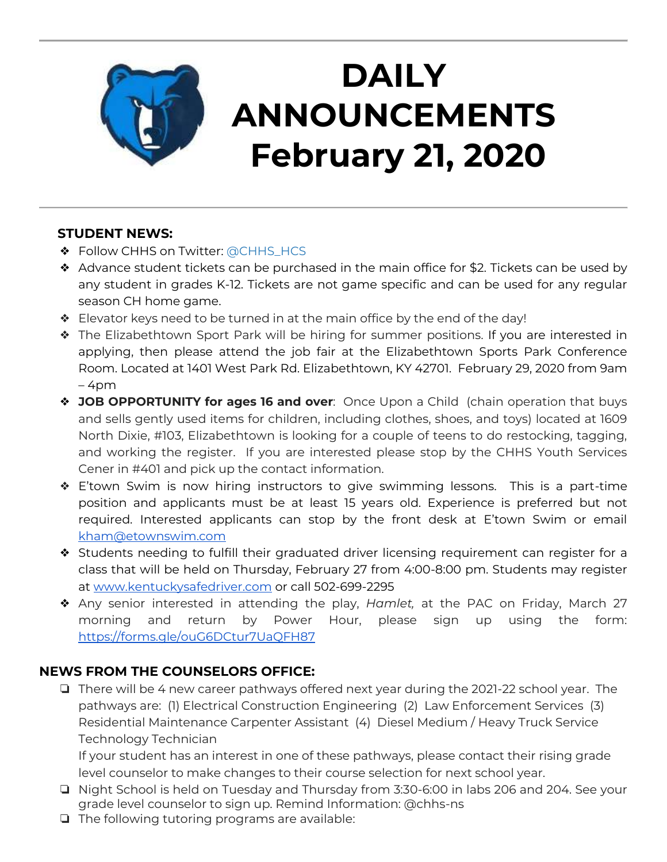

# **DAILY ANNOUNCEMENTS February 21, 2020**

### **STUDENT NEWS:**

- ❖ Follow CHHS on Twitter: [@CHHS\\_HCS](https://twitter.com/CHHS_HCS)
- ❖ Advance student tickets can be purchased in the main office for \$2. Tickets can be used by any student in grades K-12. Tickets are not game specific and can be used for any regular season CH home game.
- ❖ Elevator keys need to be turned in at the main office by the end of the day!
- ❖ The Elizabethtown Sport Park will be hiring for summer positions. If you are interested in applying, then please attend the job fair at the Elizabethtown Sports Park Conference Room. Located at 1401 West Park Rd. Elizabethtown, KY 42701. February 29, 2020 from 9am  $-4$ pm
- ❖ **JOB OPPORTUNITY for ages 16 and over**: Once Upon a Child (chain operation that buys and sells gently used items for children, including clothes, shoes, and toys) located at 1609 North Dixie, #103, Elizabethtown is looking for a couple of teens to do restocking, tagging, and working the register. If you are interested please stop by the CHHS Youth Services Cener in #401 and pick up the contact information.
- ❖ E'town Swim is now hiring instructors to give swimming lessons. This is a part-time position and applicants must be at least 15 years old. Experience is preferred but not required. Interested applicants can stop by the front desk at E'town Swim or email [kham@etownswim.com](mailto:kham@etownswim.com)
- ❖ Students needing to fulfill their graduated driver licensing requirement can register for a class that will be held on Thursday, February 27 from 4:00-8:00 pm. Students may register at [www.kentuckysafedriver.com](http://www.kentuckysafedriver.com/) or call 502-699-2295
- ❖ Any senior interested in attending the play, *Hamlet,* at the PAC on Friday, March 27 morning and return by Power Hour, please sign up using the form: <https://forms.gle/ouG6DCtur7UaQFH87>

## **NEWS FROM THE COUNSELORS OFFICE:**

❏ There will be 4 new career pathways offered next year during the 2021-22 school year. The pathways are: (1) Electrical Construction Engineering (2) Law Enforcement Services (3) Residential Maintenance Carpenter Assistant (4) Diesel Medium / Heavy Truck Service Technology Technician

If your student has an interest in one of these pathways, please contact their rising grade level counselor to make changes to their course selection for next school year.

- ❏ Night School is held on Tuesday and Thursday from 3:30-6:00 in labs 206 and 204. See your grade level counselor to sign up. Remind Information: @chhs-ns
- ❏ The following tutoring programs are available: